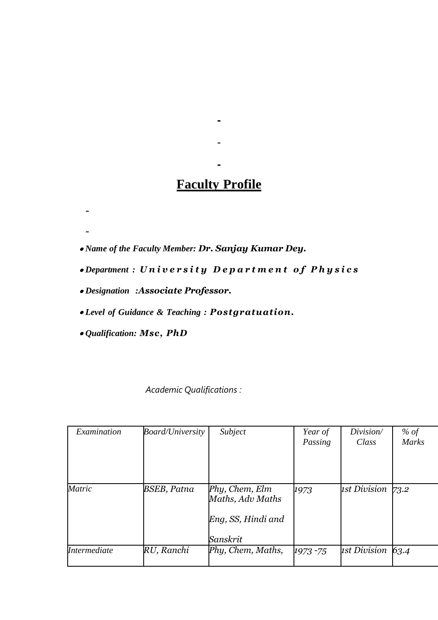## **Faculty Profile**

 $\blacksquare$ 

*Name of the Faculty Member: Dr. Sanjay Kumar Dey.*

- *Department : U n i v e r s i t y D e p a r t m e n t o f P h y s i c s*
- *Designation :Associate Professor.*
- *Level of Guidance & Teaching : Postgratuation.*
- *Qualification: Msc, PhD*

 $\blacksquare$ 

*Academic Qualifications :*

| Examination  | <b>Board/University</b> | Subject                                                              | Year of<br>Passing | Division/<br>Class | % of<br><b>Marks</b> |
|--------------|-------------------------|----------------------------------------------------------------------|--------------------|--------------------|----------------------|
| Matric       | BSEB, Patna             | Phy, Chem, Elm<br>Maths, Adv Maths<br>Eng, SS, Hindi and<br>Sanskrit | 1973               | 1st Division       | 73.2                 |
| Intermediate | RU, Ranchi              | Phy, Chem, Maths,                                                    | 1973 - 75          | 1st Division       | 63.4                 |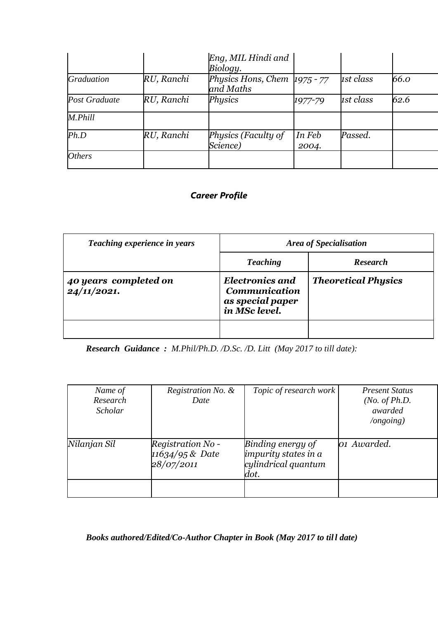|                      |            | Eng, MIL Hindi and<br>Biology.              |                 |           |      |
|----------------------|------------|---------------------------------------------|-----------------|-----------|------|
| <b>Graduation</b>    | RU, Ranchi | Physics Hons, Chem $1975 - 77$<br>and Maths |                 | 1st class | 66.0 |
| Post Graduate        | RU, Ranchi | Physics                                     | 1977-79         | 1st class | 62.6 |
| M.Phill              |            |                                             |                 |           |      |
| Ph.D                 | RU, Ranchi | Physics (Faculty of<br>Science)             | In Feb<br>2004. | Passed.   |      |
| <i><b>Others</b></i> |            |                                             |                 |           |      |

## *Career Profile*

| Teaching experience in years         | <b>Area of Specialisation</b>                                                       |                            |  |
|--------------------------------------|-------------------------------------------------------------------------------------|----------------------------|--|
|                                      | <b>Teaching</b>                                                                     | <b>Research</b>            |  |
| 40 years completed on<br>24/11/2021. | <b>Electronics and</b><br><b>Communication</b><br>as special paper<br>in MSc level. | <b>Theoretical Physics</b> |  |
|                                      |                                                                                     |                            |  |

*Research Guidance : M.Phil/Ph.D. /D.Sc. /D. Litt (May 2017 to till date):*

| Name of<br>Research<br><b>Scholar</b> | Registration No. &<br>Date                         | Topic of research work                                                          | <b>Present Status</b><br>( <i>No. of Ph.D.</i><br>awarded<br>$\log o$ ing) |
|---------------------------------------|----------------------------------------------------|---------------------------------------------------------------------------------|----------------------------------------------------------------------------|
| Nilanjan Sil                          | Registration No -<br>11634/95 & Date<br>28/07/2011 | Binding energy of<br><i>impurity states in a</i><br>cylindrical quantum<br>dot. | 01 Awarded.                                                                |
|                                       |                                                    |                                                                                 |                                                                            |

*Books authored/Edited/Co-Author Chapter in Book (May 2017 to til l date)*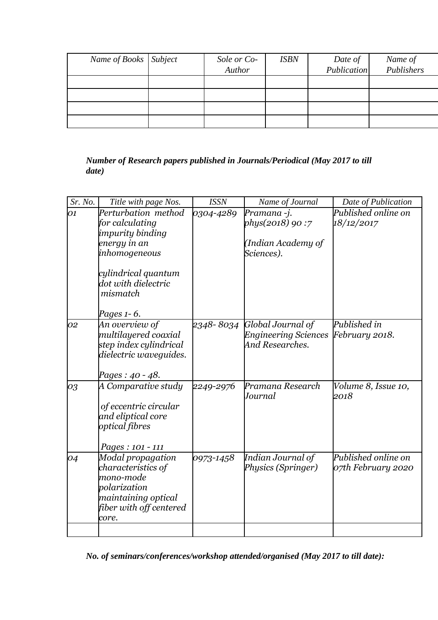| Name of Books Subject | Sole or Co- | <b>ISBN</b> | Date of     | Name of    |
|-----------------------|-------------|-------------|-------------|------------|
|                       | Author      |             | Publication | Publishers |
|                       |             |             |             |            |
|                       |             |             |             |            |
|                       |             |             |             |            |
|                       |             |             |             |            |

## *Number of Research papers published in Journals/Periodical (May 2017 to till date)*

| Sr. No. | Title with page Nos.                                                                                                                                  | <b>ISSN</b> | Name of Journal                                                               | Date of Publication                       |
|---------|-------------------------------------------------------------------------------------------------------------------------------------------------------|-------------|-------------------------------------------------------------------------------|-------------------------------------------|
| 01      | Perturbation method<br>for calculating<br>impurity binding<br>energy in an<br>inhomogeneous<br>cylindrical quantum<br>dot with dielectric<br>mismatch | 0304-4289   | Pramana -j.<br>phys(2018) 90:7<br>(Indian Academy of<br>Sciences).            | Published online on<br>18/12/2017         |
| 02      | Pages 1-6.<br>An overview of<br>multilayered coaxial<br>step index cylindrical<br>dielectric waveguides.<br>Pages: 40 - 48.                           |             | 2348-8034 Global Journal of<br><b>Engineering Sciences</b><br>And Researches. | Published in<br>February 2018.            |
| 03      | A Comparative study<br>of eccentric circular<br>and eliptical core<br>optical fibres<br>Pages: 101 - 111                                              | 2249-2976   | Pramana Research<br>Journal                                                   | Volume 8, Issue 10,<br>2018               |
| 04      | Modal propagation<br>characteristics of<br>mono-mode<br>polarization<br>maintaining optical<br>fiber with off centered<br>core.                       | 0973-1458   | Indian Journal of<br>Physics (Springer)                                       | Published online on<br>07th February 2020 |

*No. of seminars/conferences/workshop attended/organised (May 2017 to till date):*